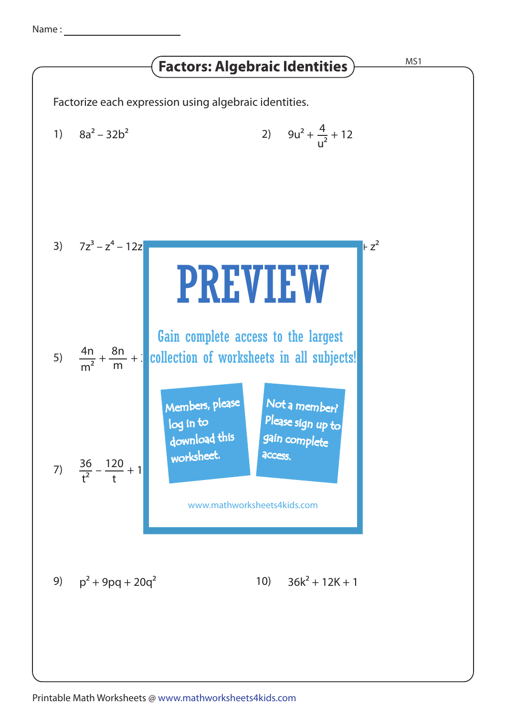